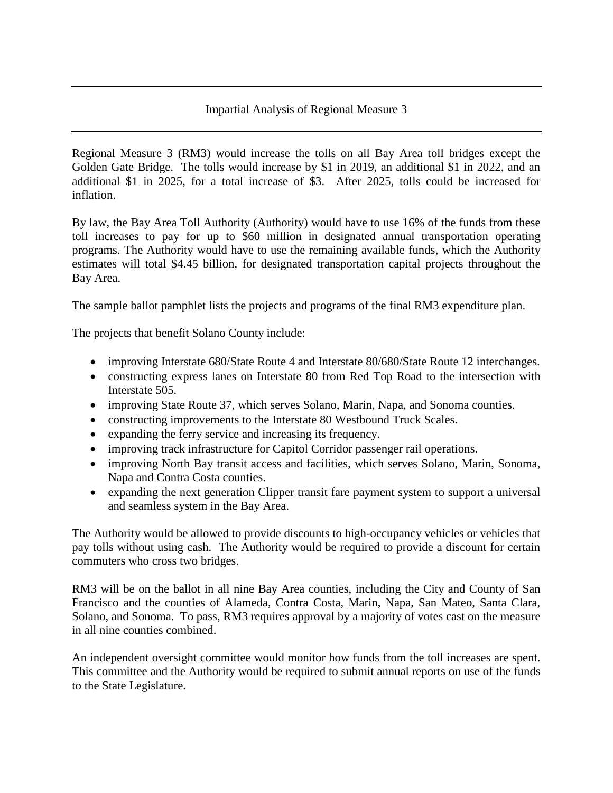## Impartial Analysis of Regional Measure 3

Regional Measure 3 (RM3) would increase the tolls on all Bay Area toll bridges except the Golden Gate Bridge. The tolls would increase by \$1 in 2019, an additional \$1 in 2022, and an additional \$1 in 2025, for a total increase of \$3. After 2025, tolls could be increased for inflation.

By law, the Bay Area Toll Authority (Authority) would have to use 16% of the funds from these toll increases to pay for up to \$60 million in designated annual transportation operating programs. The Authority would have to use the remaining available funds, which the Authority estimates will total \$4.45 billion, for designated transportation capital projects throughout the Bay Area.

The sample ballot pamphlet lists the projects and programs of the final RM3 expenditure plan.

The projects that benefit Solano County include:

- improving Interstate 680/State Route 4 and Interstate 80/680/State Route 12 interchanges.
- constructing express lanes on Interstate 80 from Red Top Road to the intersection with Interstate 505.
- improving State Route 37, which serves Solano, Marin, Napa, and Sonoma counties.
- constructing improvements to the Interstate 80 Westbound Truck Scales.
- expanding the ferry service and increasing its frequency.
- improving track infrastructure for Capitol Corridor passenger rail operations.
- improving North Bay transit access and facilities, which serves Solano, Marin, Sonoma, Napa and Contra Costa counties.
- expanding the next generation Clipper transit fare payment system to support a universal and seamless system in the Bay Area.

The Authority would be allowed to provide discounts to high-occupancy vehicles or vehicles that pay tolls without using cash. The Authority would be required to provide a discount for certain commuters who cross two bridges.

RM3 will be on the ballot in all nine Bay Area counties, including the City and County of San Francisco and the counties of Alameda, Contra Costa, Marin, Napa, San Mateo, Santa Clara, Solano, and Sonoma. To pass, RM3 requires approval by a majority of votes cast on the measure in all nine counties combined.

An independent oversight committee would monitor how funds from the toll increases are spent. This committee and the Authority would be required to submit annual reports on use of the funds to the State Legislature.